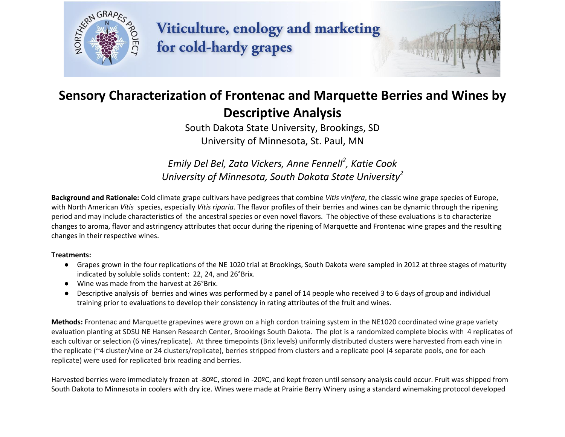

Viticulture, enology and marketing for cold-hardy grapes



# **Sensory Characterization of Frontenac and Marquette Berries and Wines by Descriptive Analysis**

South Dakota State University, Brookings, SD University of Minnesota, St. Paul, MN

*Emily Del Bel, Zata Vickers, Anne Fennell<sup>2</sup> , Katie Cook University of Minnesota, South Dakota State University 2*

**Background and Rationale:** Cold climate grape cultivars have pedigrees that combine *Vitis vinifera*, the classic wine grape species of Europe, with North American *Vitis* species, especially *Vitis riparia*. The flavor profiles of their berries and wines can be dynamic through the ripening period and may include characteristics of the ancestral species or even novel flavors. The objective of these evaluations is to characterize changes to aroma, flavor and astringency attributes that occur during the ripening of Marquette and Frontenac wine grapes and the resulting changes in their respective wines.

#### **Treatments:**

- Grapes grown in the four replications of the NE 1020 trial at Brookings, South Dakota were sampled in 2012 at three stages of maturity indicated by soluble solids content: 22, 24, and 26°Brix.
- Wine was made from the harvest at 26°Brix.
- Descriptive analysis of berries and wines was performed by a panel of 14 people who received 3 to 6 days of group and individual training prior to evaluations to develop their consistency in rating attributes of the fruit and wines.

**Methods:** Frontenac and Marquette grapevines were grown on a high cordon training system in the NE1020 coordinated wine grape variety evaluation planting at SDSU NE Hansen Research Center, Brookings South Dakota. The plot is a randomized complete blocks with 4 replicates of each cultivar or selection (6 vines/replicate). At three timepoints (Brix levels) uniformly distributed clusters were harvested from each vine in the replicate (~4 cluster/vine or 24 clusters/replicate), berries stripped from clusters and a replicate pool (4 separate pools, one for each replicate) were used for replicated brix reading and berries.

Harvested berries were immediately frozen at -80ºC, stored in -20ºC, and kept frozen until sensory analysis could occur. Fruit was shipped from South Dakota to Minnesota in coolers with dry ice. Wines were made at Prairie Berry Winery using a standard winemaking protocol developed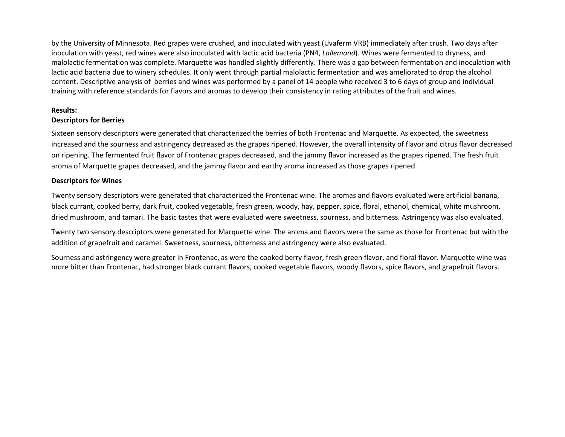by the University of Minnesota. Red grapes were crushed, and inoculated with yeast (Uvaferm VRB) immediately after crush. Two days after inoculation with yeast, red wines were also inoculated with lactic acid bacteria (PN4, *Lallemand*). Wines were fermented to dryness, and malolactic fermentation was complete. Marquette was handled slightly differently. There was a gap between fermentation and inoculation with lactic acid bacteria due to winery schedules. It only went through partial malolactic fermentation and was ameliorated to drop the alcohol content. Descriptive analysis of berries and wines was performed by a panel of 14 people who received 3 to 6 days of group and individual training with reference standards for flavors and aromas to develop their consistency in rating attributes of the fruit and wines.

## **Results:**

### **Descriptors for Berries**

Sixteen sensory descriptors were generated that characterized the berries of both Frontenac and Marquette. As expected, the sweetness increased and the sourness and astringency decreased as the grapes ripened. However, the overall intensity of flavor and citrus flavor decreased on ripening. The fermented fruit flavor of Frontenac grapes decreased, and the jammy flavor increased as the grapes ripened. The fresh fruit aroma of Marquette grapes decreased, and the jammy flavor and earthy aroma increased as those grapes ripened.

### **Descriptors for Wines**

Twenty sensory descriptors were generated that characterized the Frontenac wine. The aromas and flavors evaluated were artificial banana, black currant, cooked berry, dark fruit, cooked vegetable, fresh green, woody, hay, pepper, spice, floral, ethanol, chemical, white mushroom, dried mushroom, and tamari. The basic tastes that were evaluated were sweetness, sourness, and bitterness. Astringency was also evaluated.

Twenty two sensory descriptors were generated for Marquette wine. The aroma and flavors were the same as those for Frontenac but with the addition of grapefruit and caramel. Sweetness, sourness, bitterness and astringency were also evaluated.

Sourness and astringency were greater in Frontenac, as were the cooked berry flavor, fresh green flavor, and floral flavor. Marquette wine was more bitter than Frontenac, had stronger black currant flavors, cooked vegetable flavors, woody flavors, spice flavors, and grapefruit flavors.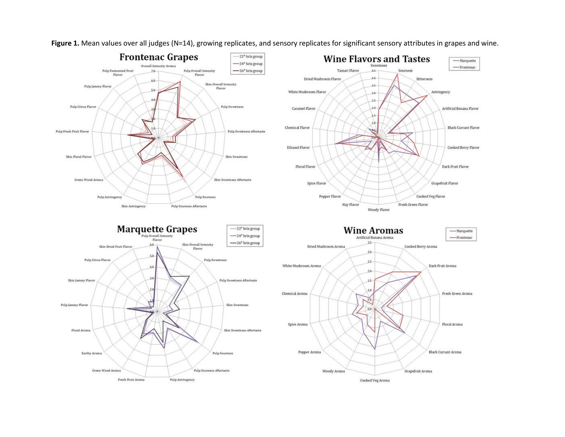

Figure 1. Mean values over all judges (N=14), growing replicates, and sensory replicates for significant sensory attributes in grapes and wine.